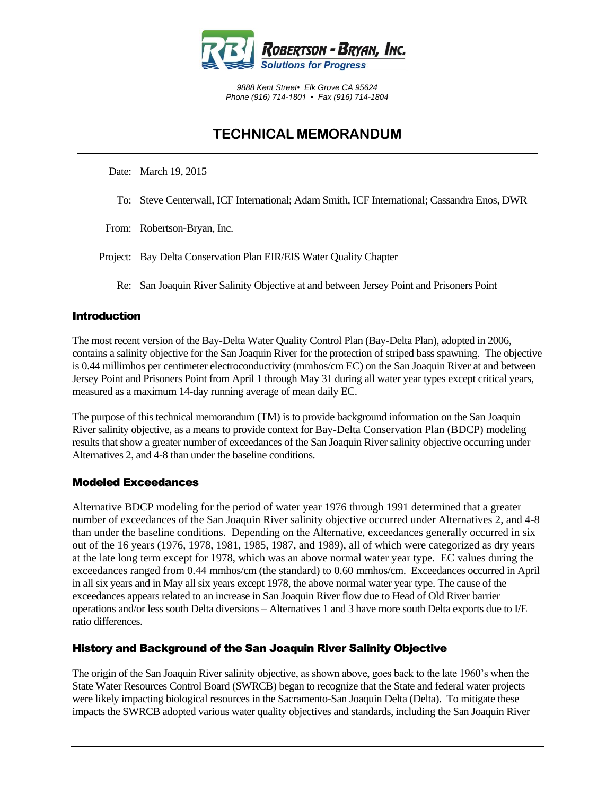

*9888 Kent Street• Elk Grove CA 95624 Phone (916) 714-1801 • Fax (916) 714-1804*

# **TECHNICAL MEMORANDUM**

Date: March 19, 2015

- To: Steve Centerwall, ICF International; Adam Smith, ICF International; Cassandra Enos, DWR
- From: Robertson-Bryan, Inc.
- Project: Bay Delta Conservation Plan EIR/EIS Water Quality Chapter
	- Re: San Joaquin River Salinity Objective at and between Jersey Point and Prisoners Point

#### Introduction

The most recent version of the Bay-Delta Water Quality Control Plan (Bay-Delta Plan), adopted in 2006, contains a salinity objective for the San Joaquin River for the protection of striped bass spawning. The objective is 0.44 millimhos per centimeter electroconductivity (mmhos/cm EC) on the San Joaquin River at and between Jersey Point and Prisoners Point from April 1 through May 31 during all water year types except critical years, measured as a maximum 14-day running average of mean daily EC.

The purpose of this technical memorandum (TM) is to provide background information on the San Joaquin River salinity objective, as a means to provide context for Bay-Delta Conservation Plan (BDCP) modeling results that show a greater number of exceedances of the San Joaquin River salinity objective occurring under Alternatives 2, and 4-8 than under the baseline conditions.

#### Modeled Exceedances

Alternative BDCP modeling for the period of water year 1976 through 1991 determined that a greater number of exceedances of the San Joaquin River salinity objective occurred under Alternatives 2, and 4-8 than under the baseline conditions. Depending on the Alternative, exceedances generally occurred in six out of the 16 years (1976, 1978, 1981, 1985, 1987, and 1989), all of which were categorized as dry years at the late long term except for 1978, which was an above normal water year type. EC values during the exceedances ranged from 0.44 mmhos/cm (the standard) to 0.60 mmhos/cm. Exceedances occurred in April in all six years and in May all six years except 1978, the above normal water year type. The cause of the exceedances appears related to an increase in San Joaquin River flow due to Head of Old River barrier operations and/or less south Delta diversions – Alternatives 1 and 3 have more south Delta exports due to I/E ratio differences.

#### History and Background of the San Joaquin River Salinity Objective

The origin of the San Joaquin River salinity objective, as shown above, goes back to the late 1960's when the State Water Resources Control Board (SWRCB) began to recognize that the State and federal water projects were likely impacting biological resources in the Sacramento-San Joaquin Delta (Delta). To mitigate these impacts the SWRCB adopted various water quality objectives and standards, including the San Joaquin River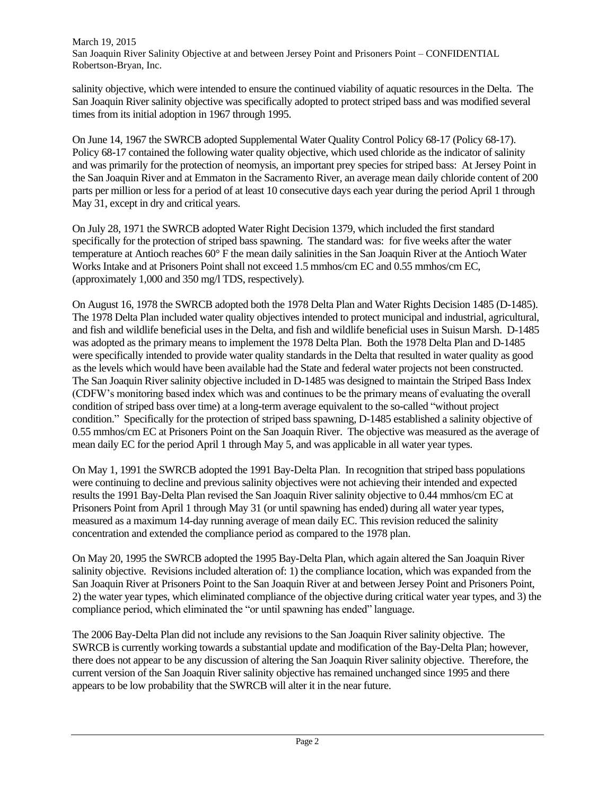salinity objective, which were intended to ensure the continued viability of aquatic resources in the Delta. The San Joaquin River salinity objective was specifically adopted to protect striped bass and was modified several times from its initial adoption in 1967 through 1995.

On June 14, 1967 the SWRCB adopted Supplemental Water Quality Control Policy 68-17 (Policy 68-17). Policy 68-17 contained the following water quality objective, which used chloride as the indicator of salinity and was primarily for the protection of neomysis, an important prey species for striped bass: At Jersey Point in the San Joaquin River and at Emmaton in the Sacramento River, an average mean daily chloride content of 200 parts per million or less for a period of at least 10 consecutive days each year during the period April 1 through May 31, except in dry and critical years.

On July 28, 1971 the SWRCB adopted Water Right Decision 1379, which included the first standard specifically for the protection of striped bass spawning. The standard was: for five weeks after the water temperature at Antioch reaches 60° F the mean daily salinities in the San Joaquin River at the Antioch Water Works Intake and at Prisoners Point shall not exceed 1.5 mmhos/cm EC and 0.55 mmhos/cm EC, (approximately 1,000 and 350 mg/l TDS, respectively).

On August 16, 1978 the SWRCB adopted both the 1978 Delta Plan and Water Rights Decision 1485 (D-1485). The 1978 Delta Plan included water quality objectives intended to protect municipal and industrial, agricultural, and fish and wildlife beneficial uses in the Delta, and fish and wildlife beneficial uses in Suisun Marsh. D-1485 was adopted as the primary means to implement the 1978 Delta Plan. Both the 1978 Delta Plan and D-1485 were specifically intended to provide water quality standards in the Delta that resulted in water quality as good as the levels which would have been available had the State and federal water projects not been constructed. The San Joaquin River salinity objective included in D-1485 was designed to maintain the Striped Bass Index (CDFW's monitoring based index which was and continues to be the primary means of evaluating the overall condition of striped bass over time) at a long-term average equivalent to the so-called "without project condition." Specifically for the protection of striped bass spawning, D-1485 established a salinity objective of 0.55 mmhos/cm EC at Prisoners Point on the San Joaquin River. The objective was measured as the average of mean daily EC for the period April 1 through May 5, and was applicable in all water year types.

On May 1, 1991 the SWRCB adopted the 1991 Bay-Delta Plan. In recognition that striped bass populations were continuing to decline and previous salinity objectives were not achieving their intended and expected results the 1991 Bay-Delta Plan revised the San Joaquin River salinity objective to 0.44 mmhos/cm EC at Prisoners Point from April 1 through May 31 (or until spawning has ended) during all water year types, measured as a maximum 14-day running average of mean daily EC. This revision reduced the salinity concentration and extended the compliance period as compared to the 1978 plan.

On May 20, 1995 the SWRCB adopted the 1995 Bay-Delta Plan, which again altered the San Joaquin River salinity objective. Revisions included alteration of: 1) the compliance location, which was expanded from the San Joaquin River at Prisoners Point to the San Joaquin River at and between Jersey Point and Prisoners Point, 2) the water year types, which eliminated compliance of the objective during critical water year types, and 3) the compliance period, which eliminated the "or until spawning has ended" language.

The 2006 Bay-Delta Plan did not include any revisions to the San Joaquin River salinity objective. The SWRCB is currently working towards a substantial update and modification of the Bay-Delta Plan; however, there does not appear to be any discussion of altering the San Joaquin River salinity objective. Therefore, the current version of the San Joaquin River salinity objective has remained unchanged since 1995 and there appears to be low probability that the SWRCB will alter it in the near future.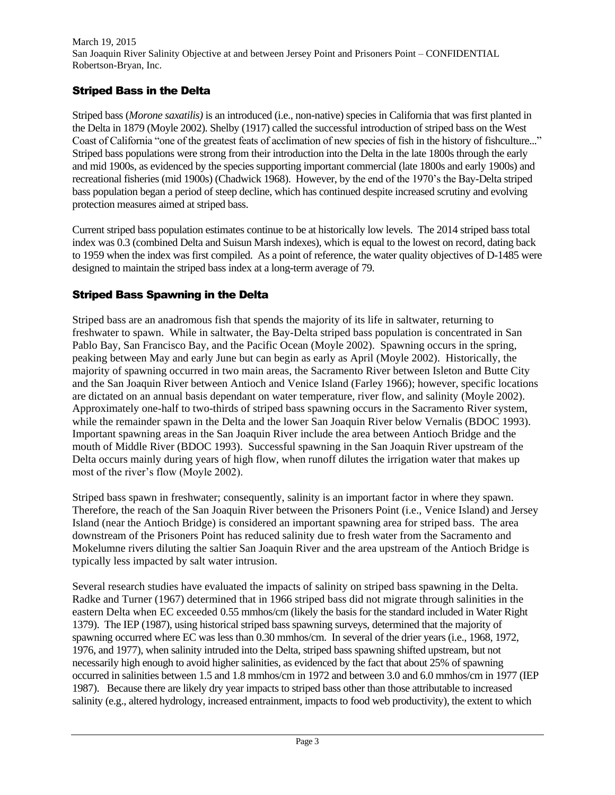## Striped Bass in the Delta

Striped bass (*Morone saxatilis)* is an introduced (i.e., non-native) species in California that was first planted in the Delta in 1879 (Moyle 2002). Shelby (1917) called the successful introduction of striped bass on the West Coast of California "one of the greatest feats of acclimation of new species of fish in the history of fishculture..." Striped bass populations were strong from their introduction into the Delta in the late 1800s through the early and mid 1900s, as evidenced by the species supporting important commercial (late 1800s and early 1900s) and recreational fisheries (mid 1900s) (Chadwick 1968). However, by the end of the 1970's the Bay-Delta striped bass population began a period of steep decline, which has continued despite increased scrutiny and evolving protection measures aimed at striped bass.

Current striped bass population estimates continue to be at historically low levels. The 2014 striped bass total index was 0.3 (combined Delta and Suisun Marsh indexes), which is equal to the lowest on record, dating back to 1959 when the index was first compiled. As a point of reference, the water quality objectives of D-1485 were designed to maintain the striped bass index at a long-term average of 79.

### Striped Bass Spawning in the Delta

Striped bass are an anadromous fish that spends the majority of its life in saltwater, returning to freshwater to spawn. While in saltwater, the Bay-Delta striped bass population is concentrated in San Pablo Bay, San Francisco Bay, and the Pacific Ocean (Moyle 2002). Spawning occurs in the spring, peaking between May and early June but can begin as early as April (Moyle 2002). Historically, the majority of spawning occurred in two main areas, the Sacramento River between Isleton and Butte City and the San Joaquin River between Antioch and Venice Island (Farley 1966); however, specific locations are dictated on an annual basis dependant on water temperature, river flow, and salinity (Moyle 2002). Approximately one-half to two-thirds of striped bass spawning occurs in the Sacramento River system, while the remainder spawn in the Delta and the lower San Joaquin River below Vernalis (BDOC 1993). Important spawning areas in the San Joaquin River include the area between Antioch Bridge and the mouth of Middle River (BDOC 1993). Successful spawning in the San Joaquin River upstream of the Delta occurs mainly during years of high flow, when runoff dilutes the irrigation water that makes up most of the river's flow (Moyle 2002).

Striped bass spawn in freshwater; consequently, salinity is an important factor in where they spawn. Therefore, the reach of the San Joaquin River between the Prisoners Point (i.e., Venice Island) and Jersey Island (near the Antioch Bridge) is considered an important spawning area for striped bass. The area downstream of the Prisoners Point has reduced salinity due to fresh water from the Sacramento and Mokelumne rivers diluting the saltier San Joaquin River and the area upstream of the Antioch Bridge is typically less impacted by salt water intrusion.

Several research studies have evaluated the impacts of salinity on striped bass spawning in the Delta. Radke and Turner (1967) determined that in 1966 striped bass did not migrate through salinities in the eastern Delta when EC exceeded 0.55 mmhos/cm (likely the basis for the standard included in Water Right 1379). The IEP (1987), using historical striped bass spawning surveys, determined that the majority of spawning occurred where EC was less than 0.30 mmhos/cm. In several of the drier years (i.e., 1968, 1972, 1976, and 1977), when salinity intruded into the Delta, striped bass spawning shifted upstream, but not necessarily high enough to avoid higher salinities, as evidenced by the fact that about 25% of spawning occurred in salinities between 1.5 and 1.8 mmhos/cm in 1972 and between 3.0 and 6.0 mmhos/cm in 1977 (IEP 1987). Because there are likely dry year impacts to striped bass other than those attributable to increased salinity (e.g., altered hydrology, increased entrainment, impacts to food web productivity), the extent to which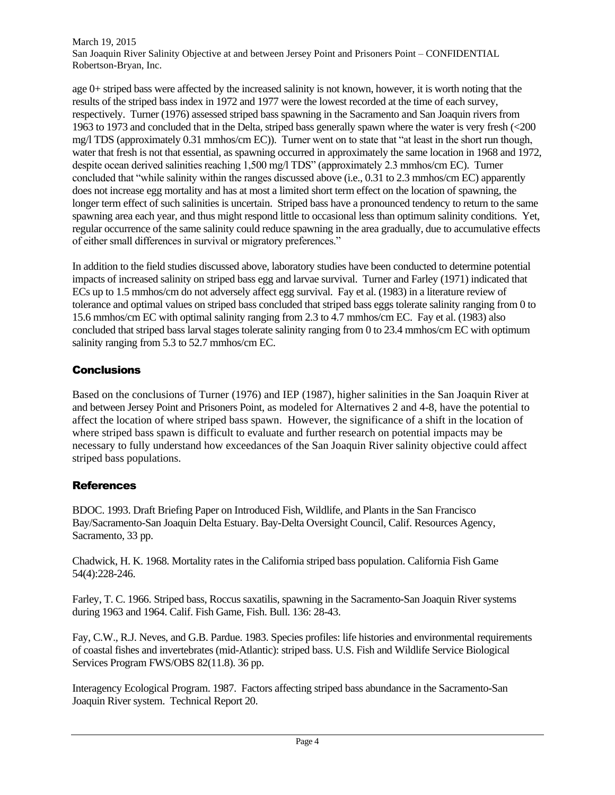age 0+ striped bass were affected by the increased salinity is not known, however, it is worth noting that the results of the striped bass index in 1972 and 1977 were the lowest recorded at the time of each survey, respectively. Turner (1976) assessed striped bass spawning in the Sacramento and San Joaquin rivers from 1963 to 1973 and concluded that in the Delta, striped bass generally spawn where the water is very fresh (<200 mg/l TDS (approximately 0.31 mmhos/cm EC)). Turner went on to state that "at least in the short run though, water that fresh is not that essential, as spawning occurred in approximately the same location in 1968 and 1972, despite ocean derived salinities reaching 1,500 mg/l TDS" (approximately 2.3 mmhos/cm EC). Turner concluded that "while salinity within the ranges discussed above (i.e., 0.31 to 2.3 mmhos/cm EC) apparently does not increase egg mortality and has at most a limited short term effect on the location of spawning, the longer term effect of such salinities is uncertain. Striped bass have a pronounced tendency to return to the same spawning area each year, and thus might respond little to occasional less than optimum salinity conditions. Yet, regular occurrence of the same salinity could reduce spawning in the area gradually, due to accumulative effects of either small differences in survival or migratory preferences."

In addition to the field studies discussed above, laboratory studies have been conducted to determine potential impacts of increased salinity on striped bass egg and larvae survival. Turner and Farley (1971) indicated that ECs up to 1.5 mmhos/cm do not adversely affect egg survival. Fay et al. (1983) in a literature review of tolerance and optimal values on striped bass concluded that striped bass eggs tolerate salinity ranging from 0 to 15.6 mmhos/cm EC with optimal salinity ranging from 2.3 to 4.7 mmhos/cm EC. Fay et al. (1983) also concluded that striped bass larval stages tolerate salinity ranging from 0 to 23.4 mmhos/cm EC with optimum salinity ranging from 5.3 to 52.7 mmhos/cm EC.

### **Conclusions**

Based on the conclusions of Turner (1976) and IEP (1987), higher salinities in the San Joaquin River at and between Jersey Point and Prisoners Point, as modeled for Alternatives 2 and 4-8, have the potential to affect the location of where striped bass spawn. However, the significance of a shift in the location of where striped bass spawn is difficult to evaluate and further research on potential impacts may be necessary to fully understand how exceedances of the San Joaquin River salinity objective could affect striped bass populations.

### **References**

BDOC. 1993. Draft Briefing Paper on Introduced Fish, Wildlife, and Plants in the San Francisco Bay/Sacramento-San Joaquin Delta Estuary. Bay-Delta Oversight Council, Calif. Resources Agency, Sacramento, 33 pp.

Chadwick, H. K. 1968. Mortality rates in the California striped bass population. California Fish Game 54(4):228-246.

Farley, T. C. 1966. Striped bass, Roccus saxatilis, spawning in the Sacramento-San Joaquin River systems during 1963 and 1964. Calif. Fish Game, Fish. Bull. 136: 28-43.

Fay, C.W., R.J. Neves, and G.B. Pardue. 1983. Species profiles: life histories and environmental requirements of coastal fishes and invertebrates (mid-Atlantic): striped bass. U.S. Fish and Wildlife Service Biological Services Program FWS/OBS 82(11.8). 36 pp.

Interagency Ecological Program. 1987. Factors affecting striped bass abundance in the Sacramento-San Joaquin River system. Technical Report 20.